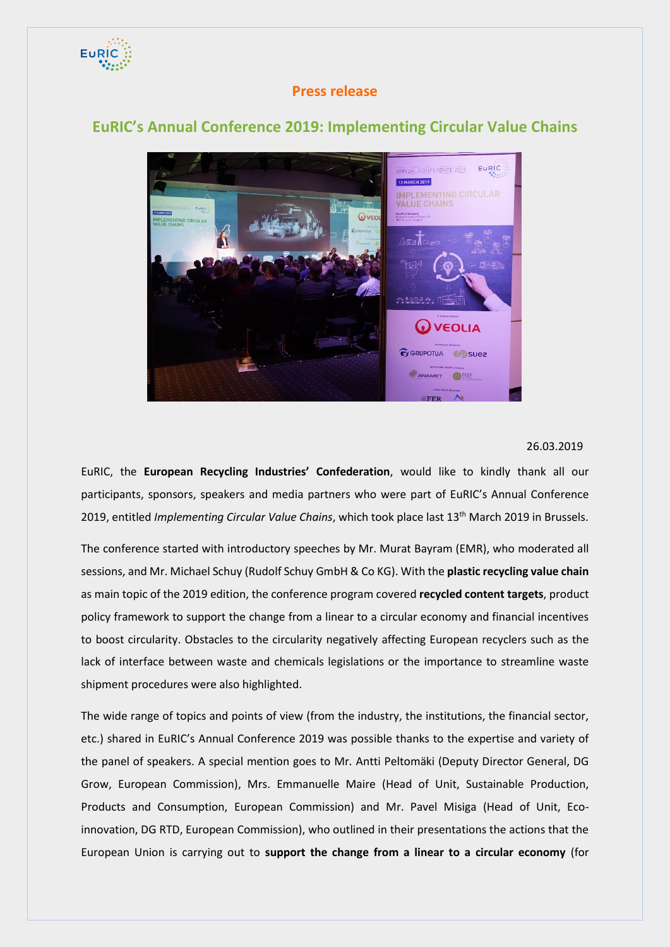

## **Press release**

## **EuRIC's Annual Conference 2019: Implementing Circular Value Chains**



## 26.03.2019

EuRIC, the **European Recycling Industries' Confederation**, would like to kindly thank all our participants, sponsors, speakers and media partners who were part of EuRIC's Annual Conference 2019, entitled *Implementing Circular Value Chains*, which took place last 13th March 2019 in Brussels.

The conference started with introductory speeches by Mr. Murat Bayram (EMR), who moderated all sessions, and Mr. Michael Schuy (Rudolf Schuy GmbH & Co KG). With the **plastic recycling value chain** as main topic of the 2019 edition, the conference program covered **recycled content targets**, product policy framework to support the change from a linear to a circular economy and financial incentives to boost circularity. Obstacles to the circularity negatively affecting European recyclers such as the lack of interface between waste and chemicals legislations or the importance to streamline waste shipment procedures were also highlighted.

The wide range of topics and points of view (from the industry, the institutions, the financial sector, etc.) shared in EuRIC's Annual Conference 2019 was possible thanks to the expertise and variety of the panel of speakers. A special mention goes to Mr. Antti Peltomäki (Deputy Director General, DG Grow, European Commission), Mrs. Emmanuelle Maire (Head of Unit, Sustainable Production, Products and Consumption, European Commission) and Mr. Pavel Misiga (Head of Unit, Ecoinnovation, DG RTD, European Commission), who outlined in their presentations the actions that the European Union is carrying out to **support the change from a linear to a circular economy** (for